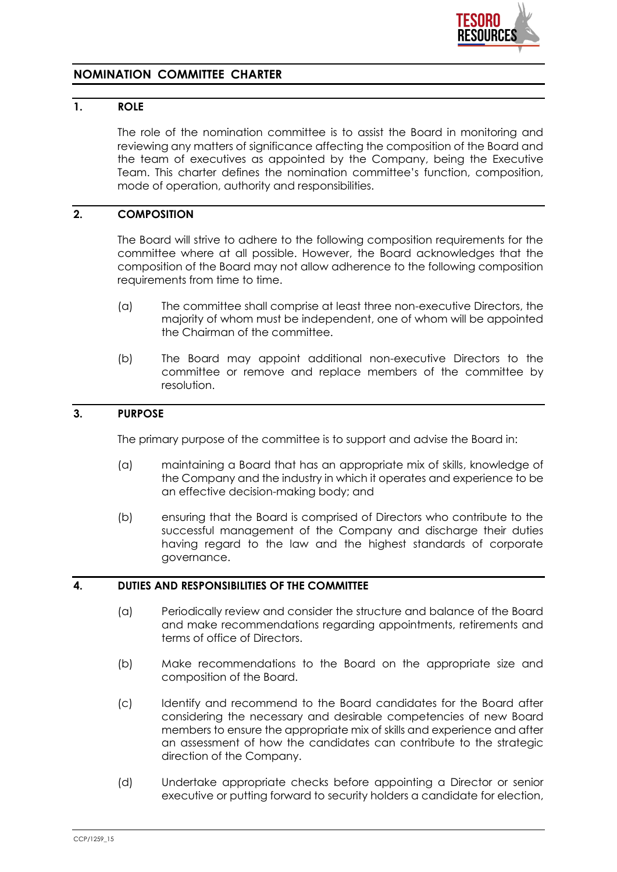

# **NOMINATION COMMITTEE CHARTER**

## **1. ROLE**

The role of the nomination committee is to assist the Board in monitoring and reviewing any matters of significance affecting the composition of the Board and the team of executives as appointed by the Company, being the Executive Team. This charter defines the nomination committee's function, composition, mode of operation, authority and responsibilities.

# **2. COMPOSITION**

The Board will strive to adhere to the following composition requirements for the committee where at all possible. However, the Board acknowledges that the composition of the Board may not allow adherence to the following composition requirements from time to time.

- (a) The committee shall comprise at least three non-executive Directors, the majority of whom must be independent, one of whom will be appointed the Chairman of the committee.
- (b) The Board may appoint additional non-executive Directors to the committee or remove and replace members of the committee by resolution.

#### **3. PURPOSE**

The primary purpose of the committee is to support and advise the Board in:

- (a) maintaining a Board that has an appropriate mix of skills, knowledge of the Company and the industry in which it operates and experience to be an effective decision-making body; and
- (b) ensuring that the Board is comprised of Directors who contribute to the successful management of the Company and discharge their duties having regard to the law and the highest standards of corporate governance.

#### **4. DUTIES AND RESPONSIBILITIES OF THE COMMITTEE**

- (a) Periodically review and consider the structure and balance of the Board and make recommendations regarding appointments, retirements and terms of office of Directors.
- (b) Make recommendations to the Board on the appropriate size and composition of the Board.
- (c) Identify and recommend to the Board candidates for the Board after considering the necessary and desirable competencies of new Board members to ensure the appropriate mix of skills and experience and after an assessment of how the candidates can contribute to the strategic direction of the Company.
- (d) Undertake appropriate checks before appointing a Director or senior executive or putting forward to security holders a candidate for election,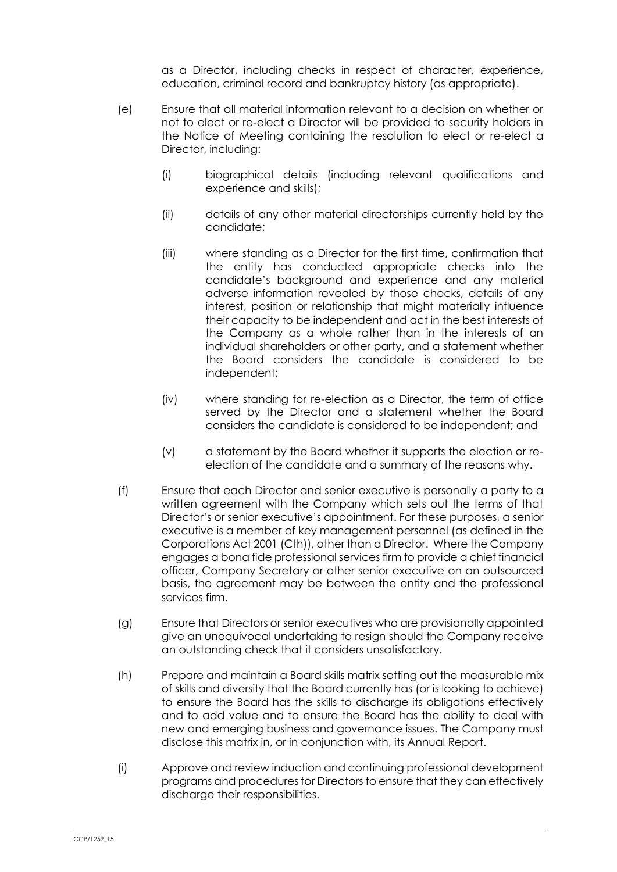as a Director, including checks in respect of character, experience, education, criminal record and bankruptcy history (as appropriate).

- (e) Ensure that all material information relevant to a decision on whether or not to elect or re-elect a Director will be provided to security holders in the Notice of Meeting containing the resolution to elect or re-elect a Director, including:
	- (i) biographical details (including relevant qualifications and experience and skills);
	- (ii) details of any other material directorships currently held by the candidate;
	- (iii) where standing as a Director for the first time, confirmation that the entity has conducted appropriate checks into the candidate's background and experience and any material adverse information revealed by those checks, details of any interest, position or relationship that might materially influence their capacity to be independent and act in the best interests of the Company as a whole rather than in the interests of an individual shareholders or other party, and a statement whether the Board considers the candidate is considered to be independent;
	- (iv) where standing for re-election as a Director, the term of office served by the Director and a statement whether the Board considers the candidate is considered to be independent; and
	- (v) a statement by the Board whether it supports the election or reelection of the candidate and a summary of the reasons why.
- (f) Ensure that each Director and senior executive is personally a party to a written agreement with the Company which sets out the terms of that Director's or senior executive's appointment. For these purposes, a senior executive is a member of key management personnel (as defined in the Corporations Act 2001 (Cth)), other than a Director. Where the Company engages a bona fide professional services firm to provide a chief financial officer, Company Secretary or other senior executive on an outsourced basis, the agreement may be between the entity and the professional services firm.
- (g) Ensure that Directors or senior executives who are provisionally appointed give an unequivocal undertaking to resign should the Company receive an outstanding check that it considers unsatisfactory.
- (h) Prepare and maintain a Board skills matrix setting out the measurable mix of skills and diversity that the Board currently has (or is looking to achieve) to ensure the Board has the skills to discharge its obligations effectively and to add value and to ensure the Board has the ability to deal with new and emerging business and governance issues. The Company must disclose this matrix in, or in conjunction with, its Annual Report.
- (i) Approve and review induction and continuing professional development programs and procedures for Directors to ensure that they can effectively discharge their responsibilities.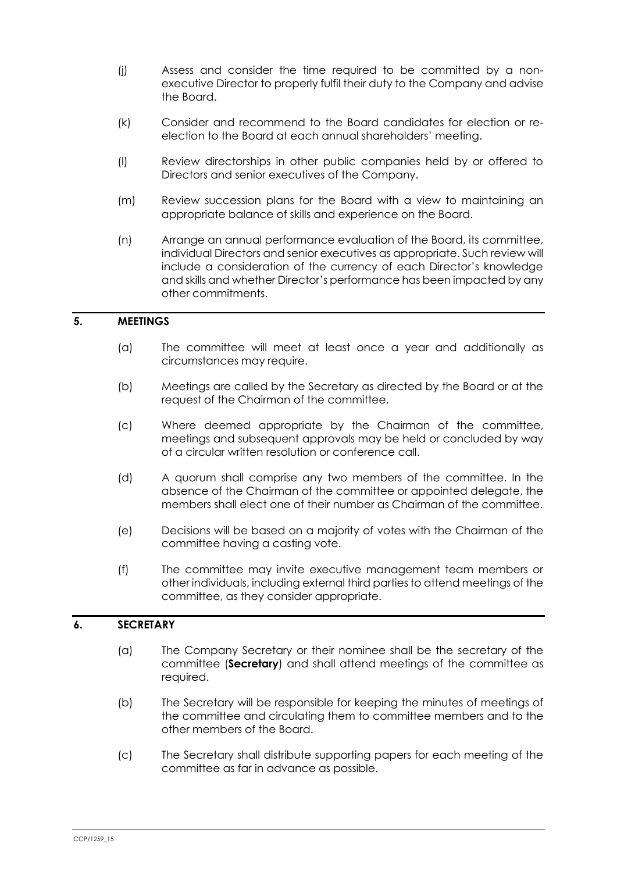- (j) Assess and consider the time required to be committed by a nonexecutive Director to properly fulfil their duty to the Company and advise the Board.
- (k) Consider and recommend to the Board candidates for election or reelection to the Board at each annual shareholders' meeting.
- (l) Review directorships in other public companies held by or offered to Directors and senior executives of the Company.
- (m) Review succession plans for the Board with a view to maintaining an appropriate balance of skills and experience on the Board.
- (n) Arrange an annual performance evaluation of the Board, its committee, individual Directors and senior executives as appropriate. Such review will include a consideration of the currency of each Director's knowledge and skills and whether Director's performance has been impacted by any other commitments.

#### **5. MEETINGS**

- (a) The committee will meet at least once a year and additionally as circumstances may require.
- (b) Meetings are called by the Secretary as directed by the Board or at the request of the Chairman of the committee.
- (c) Where deemed appropriate by the Chairman of the committee, meetings and subsequent approvals may be held or concluded by way of a circular written resolution or conference call.
- (d) A quorum shall comprise any two members of the committee. In the absence of the Chairman of the committee or appointed delegate, the members shall elect one of their number as Chairman of the committee.
- (e) Decisions will be based on a majority of votes with the Chairman of the committee having a casting vote.
- (f) The committee may invite executive management team members or other individuals, including external third parties to attend meetings of the committee, as they consider appropriate.

### **6. SECRETARY**

- (a) The Company Secretary or their nominee shall be the secretary of the committee (**Secretary**) and shall attend meetings of the committee as required.
- (b) The Secretary will be responsible for keeping the minutes of meetings of the committee and circulating them to committee members and to the other members of the Board.
- (c) The Secretary shall distribute supporting papers for each meeting of the committee as far in advance as possible.